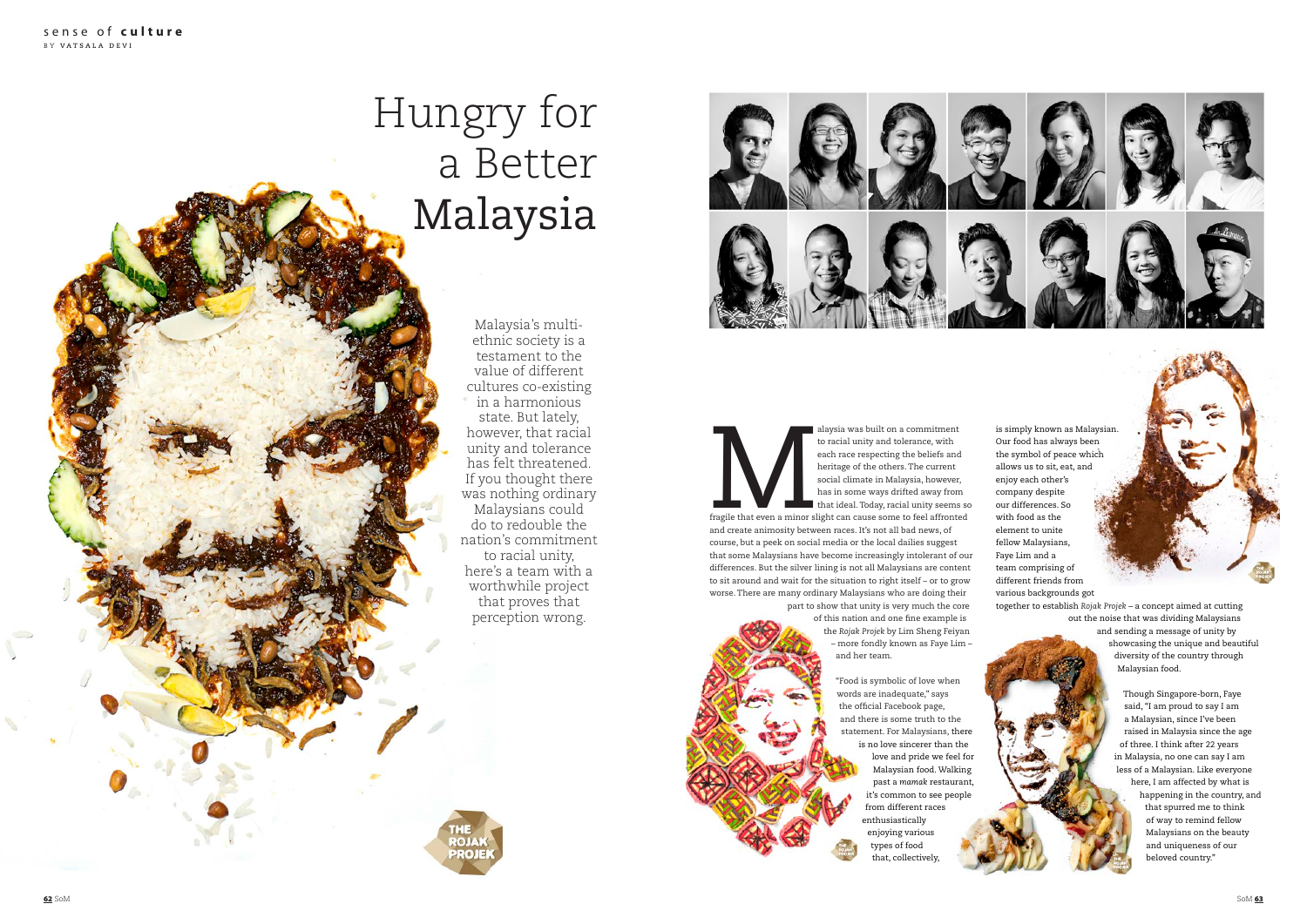alaysia was built on a commitment<br>to racial unity and tolerance, with<br>each race respecting the beliefs and<br>heritage of the others. The current<br>social climate in Malaysia, however,<br>has in some ways drifted away from<br>that id to racial unity and tolerance, with each race respecting the beliefs and heritage of the others. The current social climate in Malaysia, however, has in some ways drifted away from that ideal. Today, racial unity seems so

> "Food is symbolic of love when words are inadequate," says the official Facebook page, and there is some truth to the statement. For Malaysians, there is no love sincerer than the love and pride we feel for Malaysian food. Walking past a *mamak* restaurant, it's common to see people from different races enthusiastically enjoying various types of food that, collectively

fragile that even a minor slight can cause some to feel affronted and create animosity between races. It's not all bad news, of course, but a peek on social media or the local dailies suggest that some Malaysians have become increasingly intolerant of our differences. But the silver lining is not all Malaysians are content to sit around and wait for the situation to right itself – or to grow worse. There are many ordinary Malaysians who are doing their part to show that unity is very much the core

of this nation and one fine example is the *Rojak Projek* by Lim Sheng Feiyan – more fondly known as Faye Lim – and her team.

is simply known as Malaysian. Our food has always been the symbol of peace which allows us to sit, eat, and enjoy each other's company despite our differences. So with food as the element to unite fellow Malaysians, Faye Lim and a team comprising of different friends from various backgrounds got

together to establish *Rojak Projek* – a concept aimed at cutting out the noise that was dividing Malaysians and sending a message of unity by showcasing the unique and beautiful diversity of the country through Malaysian food.

> Though Singapore-born, Faye said, "I am proud to say I am a Malaysian, since I've been raised in Malaysia since the age of three. I think after 22 years in Malaysia, no one can say I am less of a Malaysian. Like everyone here, I am affected by what is happening in the country, and that spurred me to think of way to remind fellow Malaysians on the beauty and uniqueness of our beloved country."

## Hungry for a Better Malaysia

Malaysia's multiethnic society is a testament to the value of different cultures co-existing in a harmonious state. But lately, however, that racial unity and tolerance has felt threatened. If you thought there was nothing ordinary Malaysians could do to redouble the nation's commitment to racial unity, here's a team with a worthwhile project that proves that perception wrong.